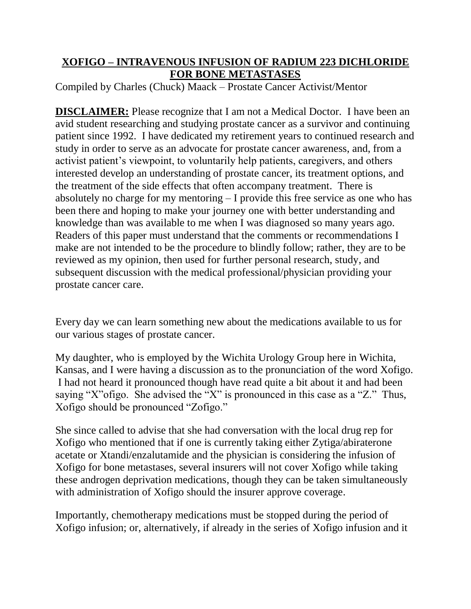## **XOFIGO – INTRAVENOUS INFUSION OF RADIUM 223 DICHLORIDE FOR BONE METASTASES**

Compiled by Charles (Chuck) Maack – Prostate Cancer Activist/Mentor

**DISCLAIMER:** Please recognize that I am not a Medical Doctor. I have been an avid student researching and studying prostate cancer as a survivor and continuing patient since 1992. I have dedicated my retirement years to continued research and study in order to serve as an advocate for prostate cancer awareness, and, from a activist patient's viewpoint, to voluntarily help patients, caregivers, and others interested develop an understanding of prostate cancer, its treatment options, and the treatment of the side effects that often accompany treatment. There is absolutely no charge for my mentoring – I provide this free service as one who has been there and hoping to make your journey one with better understanding and knowledge than was available to me when I was diagnosed so many years ago. Readers of this paper must understand that the comments or recommendations I make are not intended to be the procedure to blindly follow; rather, they are to be reviewed as my opinion, then used for further personal research, study, and subsequent discussion with the medical professional/physician providing your prostate cancer care.

Every day we can learn something new about the medications available to us for our various stages of prostate cancer.

My daughter, who is employed by the Wichita Urology Group here in Wichita, Kansas, and I were having a discussion as to the pronunciation of the word Xofigo. I had not heard it pronounced though have read quite a bit about it and had been saying "X"ofigo. She advised the "X" is pronounced in this case as a "Z." Thus, Xofigo should be pronounced "Zofigo."

She since called to advise that she had conversation with the local drug rep for Xofigo who mentioned that if one is currently taking either Zytiga/abiraterone acetate or Xtandi/enzalutamide and the physician is considering the infusion of Xofigo for bone metastases, several insurers will not cover Xofigo while taking these androgen deprivation medications, though they can be taken simultaneously with administration of Xofigo should the insurer approve coverage.

Importantly, chemotherapy medications must be stopped during the period of Xofigo infusion; or, alternatively, if already in the series of Xofigo infusion and it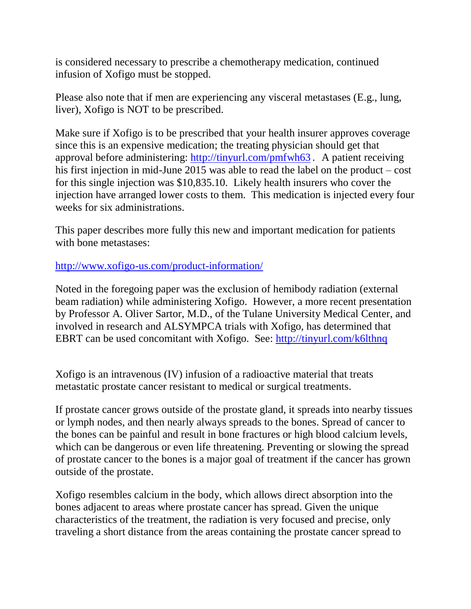is considered necessary to prescribe a chemotherapy medication, continued infusion of Xofigo must be stopped.

Please also note that if men are experiencing any visceral metastases (E.g., lung, liver), Xofigo is NOT to be prescribed.

Make sure if Xofigo is to be prescribed that your health insurer approves coverage since this is an expensive medication; the treating physician should get that approval before administering:<http://tinyurl.com/pmfwh63> **.** A patient receiving his first injection in mid-June 2015 was able to read the label on the product – cost for this single injection was \$10,835.10. Likely health insurers who cover the injection have arranged lower costs to them. This medication is injected every four weeks for six administrations.

This paper describes more fully this new and important medication for patients with bone metastases:

<http://www.xofigo-us.com/product-information/>

Noted in the foregoing paper was the exclusion of hemibody radiation (external beam radiation) while administering Xofigo. However, a more recent presentation by Professor A. Oliver Sartor, M.D., of the Tulane University Medical Center, and involved in research and ALSYMPCA trials with Xofigo, has determined that EBRT can be used concomitant with Xofigo. See:<http://tinyurl.com/k6lthnq>

Xofigo is an intravenous (IV) infusion of a radioactive material that treats metastatic prostate cancer resistant to medical or surgical treatments.

If prostate cancer grows outside of the prostate gland, it spreads into nearby tissues or lymph nodes, and then nearly always spreads to the bones. Spread of cancer to the bones can be painful and result in bone fractures or high blood calcium levels, which can be dangerous or even life threatening. Preventing or slowing the spread of prostate cancer to the bones is a major goal of treatment if the cancer has grown outside of the prostate.

Xofigo resembles calcium in the body, which allows direct absorption into the bones adjacent to areas where prostate cancer has spread. Given the unique characteristics of the treatment, the radiation is very focused and precise, only traveling a short distance from the areas containing the prostate cancer spread to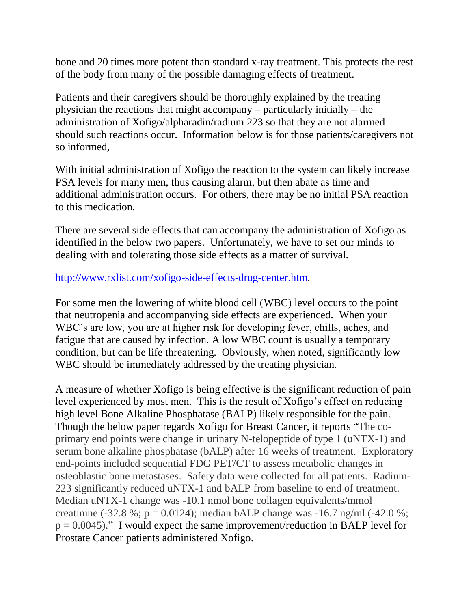bone and 20 times more potent than standard x-ray treatment. This protects the rest of the body from many of the possible damaging effects of treatment.

Patients and their caregivers should be thoroughly explained by the treating physician the reactions that might accompany – particularly initially – the administration of Xofigo/alpharadin/radium 223 so that they are not alarmed should such reactions occur. Information below is for those patients/caregivers not so informed,

With initial administration of Xofigo the reaction to the system can likely increase PSA levels for many men, thus causing alarm, but then abate as time and additional administration occurs. For others, there may be no initial PSA reaction to this medication.

There are several side effects that can accompany the administration of Xofigo as identified in the below two papers. Unfortunately, we have to set our minds to dealing with and tolerating those side effects as a matter of survival.

## [http://www.rxlist.com/xofigo-side-effects-drug-center.htm.](http://www.rxlist.com/xofigo-side-effects-drug-center.htm)

For some men the lowering of white blood cell (WBC) level occurs to the point that neutropenia and accompanying side effects are experienced. When your WBC's are low, you are at higher risk for developing fever, chills, aches, and fatigue that are caused by infection. A low WBC count is usually a temporary condition, but can be life threatening. Obviously, when noted, significantly low WBC should be immediately addressed by the treating physician.

A measure of whether Xofigo is being effective is the significant reduction of pain level experienced by most men. This is the result of Xofigo's effect on reducing high level Bone Alkaline Phosphatase (BALP) likely responsible for the pain. Though the below paper regards Xofigo for Breast Cancer, it reports "The coprimary end points were change in urinary N-telopeptide of type 1 (uNTX-1) and serum bone alkaline phosphatase (bALP) after 16 weeks of treatment. Exploratory end-points included sequential FDG PET/CT to assess metabolic changes in osteoblastic bone metastases. Safety data were collected for all patients. Radium-223 significantly reduced uNTX-1 and bALP from baseline to end of treatment. Median uNTX-1 change was -10.1 nmol bone collagen equivalents/mmol creatinine (-32.8 %; p = 0.0124); median bALP change was -16.7 ng/ml (-42.0 %;  $p = 0.0045$ ." I would expect the same improvement/reduction in BALP level for Prostate Cancer patients administered Xofigo.